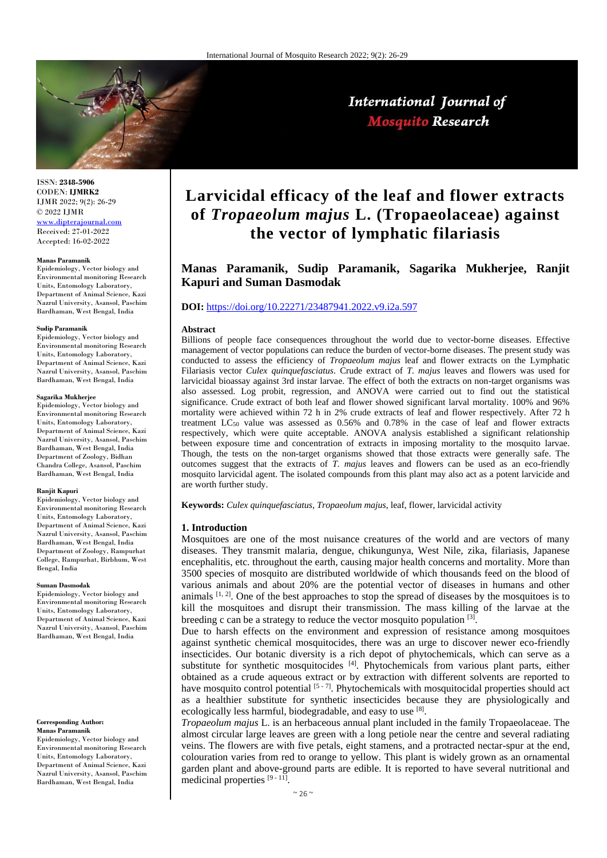

ISSN: **2348-5906** CODEN: **IJMRK2** IJMR 2022; 9(2): 26-29 © 2022 IJMR [www.dipterajournal.com](file://server/d/Mosquito/Issue/8%20Volume/www.dipterajournal.com)

Received: 27-01-2022 Accepted: 16-02-2022

#### **Manas Paramanik**

Epidemiology, Vector biology and Environmental monitoring Research Units, Entomology Laboratory, Department of Animal Science, Kazi Nazrul University, Asansol, Paschim Bardhaman, West Bengal, India

#### **Sudip Paramanik**

Epidemiology, Vector biology and Environmental monitoring Research Units, Entomology Laboratory, Department of Animal Science, Kazi Nazrul University, Asansol, Paschim Bardhaman, West Bengal, India

#### **Sagarika Mukherjee**

Epidemiology, Vector biology and Environmental monitoring Research Units, Entomology Laboratory, Department of Animal Science, Kazi Nazrul University, Asansol, Paschim Bardhaman, West Bengal, India Department of Zoology, Bidhan Chandra College, Asansol, Paschim Bardhaman, West Bengal, India

#### **Ranjit Kapuri**

Epidemiology, Vector biology and Environmental monitoring Research Units, Entomology Laboratory, Department of Animal Science, Kazi Nazrul University, Asansol, Paschim Bardhaman, West Bengal, India Department of Zoology, Rampurhat College, Rampurhat, Birbhum, West Bengal, India

#### **Suman Dasmodak**

Epidemiology, Vector biology and Environmental monitoring Research Units, Entomology Laboratory, Department of Animal Science, Kazi Nazrul University, Asansol, Paschim Bardhaman, West Bengal, India

#### **Corresponding Author:**

**Manas Paramanik** Epidemiology, Vector biology and Environmental monitoring Research Units, Entomology Laboratory, Department of Animal Science, Kazi Nazrul University, Asansol, Paschim Bardhaman, West Bengal, India

# **Larvicidal efficacy of the leaf and flower extracts of** *Tropaeolum majus* **L. (Tropaeolaceae) against the vector of lymphatic filariasis**

## **Manas Paramanik, Sudip Paramanik, Sagarika Mukherjee, Ranjit Kapuri and Suman Dasmodak**

## **DOI:** <https://doi.org/10.22271/23487941.2022.v9.i2a.597>

#### **Abstract**

Billions of people face consequences throughout the world due to vector-borne diseases. Effective management of vector populations can reduce the burden of vector-borne diseases. The present study was conducted to assess the efficiency of *Tropaeolum majus* leaf and flower extracts on the Lymphatic Filariasis vector *Culex quinquefasciatus*. Crude extract of *T. majus* leaves and flowers was used for larvicidal bioassay against 3rd instar larvae. The effect of both the extracts on non-target organisms was also assessed. Log probit, regression, and ANOVA were carried out to find out the statistical significance. Crude extract of both leaf and flower showed significant larval mortality. 100% and 96% mortality were achieved within 72 h in 2% crude extracts of leaf and flower respectively. After 72 h treatment  $LC_{50}$  value was assessed as 0.56% and 0.78% in the case of leaf and flower extracts respectively, which were quite acceptable. ANOVA analysis established a significant relationship between exposure time and concentration of extracts in imposing mortality to the mosquito larvae. Though, the tests on the non-target organisms showed that those extracts were generally safe. The outcomes suggest that the extracts of *T. majus* leaves and flowers can be used as an eco-friendly mosquito larvicidal agent. The isolated compounds from this plant may also act as a potent larvicide and are worth further study.

**Keywords:** *Culex quinquefasciatus*, *Tropaeolum majus*, leaf, flower, larvicidal activity

#### **1. Introduction**

Mosquitoes are one of the most nuisance creatures of the world and are vectors of many diseases. They transmit malaria, dengue, chikungunya, West Nile, zika, filariasis, Japanese encephalitis, etc. throughout the earth, causing major health concerns and mortality. More than 3500 species of mosquito are distributed worldwide of which thousands feed on the blood of various animals and about 20% are the potential vector of diseases in humans and other animals [1, 2]. One of the best approaches to stop the spread of diseases by the mosquitoes is to kill the mosquitoes and disrupt their transmission. The mass killing of the larvae at the breeding c can be a strategy to reduce the vector mosquito population  $[3]$ .

Due to harsh effects on the environment and expression of resistance among mosquitoes against synthetic chemical mosquitocides, there was an urge to discover newer eco-friendly insecticides. Our botanic diversity is a rich depot of phytochemicals, which can serve as a substitute for synthetic mosquitocides  $[4]$ . Phytochemicals from various plant parts, either obtained as a crude aqueous extract or by extraction with different solvents are reported to have mosquito control potential [5 - 7]. Phytochemicals with mosquitocidal properties should act as a healthier substitute for synthetic insecticides because they are physiologically and ecologically less harmful, biodegradable, and easy to use [8].

*Tropaeolum majus* L. is an herbaceous annual plant included in the family Tropaeolaceae. The almost circular large leaves are green with a long petiole near the centre and several radiating veins. The flowers are with five petals, eight stamens, and a protracted nectar-spur at the end, colouration varies from red to orange to yellow. This plant is widely grown as an ornamental garden plant and above-ground parts are edible. It is reported to have several nutritional and medicinal properties [9 - 11].

## International Journal of **Mosquito Research**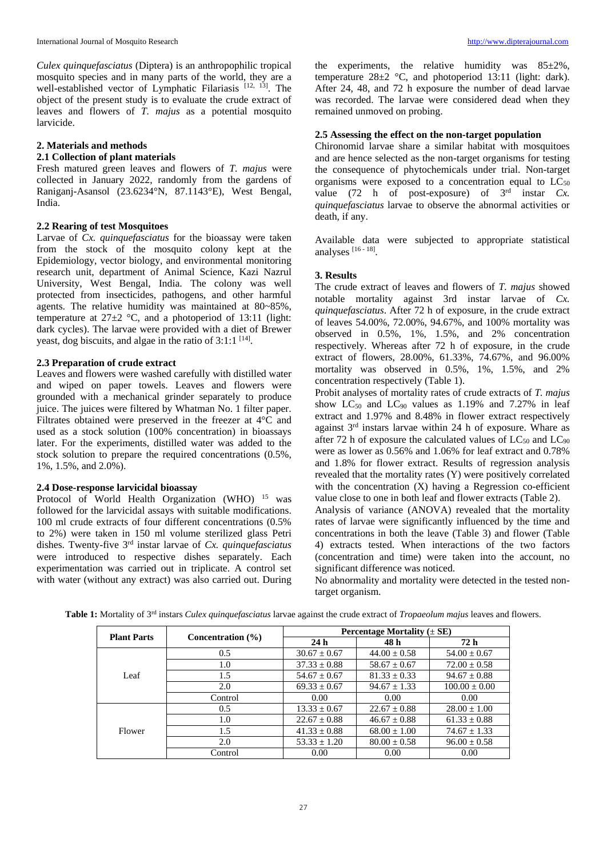*Culex quinquefasciatus* (Diptera) is an anthropophilic tropical mosquito species and in many parts of the world, they are a well-established vector of Lymphatic Filariasis<sup>[12, 13]</sup>. The object of the present study is to evaluate the crude extract of leaves and flowers of *T. majus* as a potential mosquito larvicide.

## **2. Materials and methods**

#### **2.1 Collection of plant materials**

Fresh matured green leaves and flowers of *T. majus* were collected in January 2022, randomly from the gardens of Raniganj-Asansol (23.6234°N, 87.1143°E), West Bengal, India.

### **2.2 Rearing of test Mosquitoes**

Larvae of *Cx. quinquefasciatus* for the bioassay were taken from the stock of the mosquito colony kept at the Epidemiology, vector biology, and environmental monitoring research unit, department of Animal Science, Kazi Nazrul University, West Bengal, India. The colony was well protected from insecticides, pathogens, and other harmful agents. The relative humidity was maintained at 80~85%, temperature at  $27\pm2$  °C, and a photoperiod of 13:11 (light: dark cycles). The larvae were provided with a diet of Brewer yeast, dog biscuits, and algae in the ratio of  $3:1:1$  <sup>[14]</sup>.

## **2.3 Preparation of crude extract**

Leaves and flowers were washed carefully with distilled water and wiped on paper towels. Leaves and flowers were grounded with a mechanical grinder separately to produce juice. The juices were filtered by Whatman No. 1 filter paper. Filtrates obtained were preserved in the freezer at 4°C and used as a stock solution (100% concentration) in bioassays later. For the experiments, distilled water was added to the stock solution to prepare the required concentrations (0.5%, 1%, 1.5%, and 2.0%).

### **2.4 Dose-response larvicidal bioassay**

Protocol of World Health Organization (WHO) <sup>15</sup> was followed for the larvicidal assays with suitable modifications. 100 ml crude extracts of four different concentrations (0.5% to 2%) were taken in 150 ml volume sterilized glass Petri dishes. Twenty-five 3rd instar larvae of *Cx. quinquefasciatus* were introduced to respective dishes separately. Each experimentation was carried out in triplicate. A control set with water (without any extract) was also carried out. During

the experiments, the relative humidity was  $85\pm2\%$ , temperature  $28\pm2$  °C, and photoperiod 13:11 (light: dark). After 24, 48, and 72 h exposure the number of dead larvae was recorded. The larvae were considered dead when they remained unmoved on probing.

## **2.5 Assessing the effect on the non-target population**

Chironomid larvae share a similar habitat with mosquitoes and are hence selected as the non-target organisms for testing the consequence of phytochemicals under trial. Non-target organisms were exposed to a concentration equal to  $LC_{50}$ value (72 h of post-exposure) of  $3<sup>rd</sup>$  instar *Cx*. *quinquefasciatus* larvae to observe the abnormal activities or death, if any.

Available data were subjected to appropriate statistical analyses [16 - 18].

## **3. Results**

The crude extract of leaves and flowers of *T. majus* showed notable mortality against 3rd instar larvae of *Cx. quinquefasciatus*. After 72 h of exposure, in the crude extract of leaves 54.00%, 72.00%, 94.67%, and 100% mortality was observed in 0.5%, 1%, 1.5%, and 2% concentration respectively. Whereas after 72 h of exposure, in the crude extract of flowers, 28.00%, 61.33%, 74.67%, and 96.00% mortality was observed in 0.5%, 1%, 1.5%, and 2% concentration respectively (Table 1).

Probit analyses of mortality rates of crude extracts of *T. majus* show  $LC_{50}$  and  $LC_{90}$  values as 1.19% and 7.27% in leaf extract and 1.97% and 8.48% in flower extract respectively against 3rd instars larvae within 24 h of exposure. Whare as after 72 h of exposure the calculated values of  $LC_{50}$  and  $LC_{90}$ were as lower as 0.56% and 1.06% for leaf extract and 0.78% and 1.8% for flower extract. Results of regression analysis revealed that the mortality rates (Y) were positively correlated with the concentration (X) having a Regression co-efficient value close to one in both leaf and flower extracts (Table 2). Analysis of variance (ANOVA) revealed that the mortality rates of larvae were significantly influenced by the time and concentrations in both the leave (Table 3) and flower (Table 4) extracts tested. When interactions of the two factors (concentration and time) were taken into the account, no significant difference was noticed.

No abnormality and mortality were detected in the tested nontarget organism.

| <b>Plant Parts</b> | Concentration $(\% )$ | Percentage Mortality $(\pm SE)$ |                  |                   |  |
|--------------------|-----------------------|---------------------------------|------------------|-------------------|--|
|                    |                       | 24 <sub>h</sub>                 | 48 h             | 72 h              |  |
| Leaf               | 0.5                   | $30.67 \pm 0.67$                | $44.00 \pm 0.58$ | $54.00 \pm 0.67$  |  |
|                    | 1.0                   | $37.33 \pm 0.88$                | $58.67 \pm 0.67$ | $72.00 \pm 0.58$  |  |
|                    | 1.5                   | $54.67 \pm 0.67$                | $81.33 \pm 0.33$ | $94.67 \pm 0.88$  |  |
|                    | 2.0                   | $69.33 \pm 0.67$                | $94.67 \pm 1.33$ | $100.00 \pm 0.00$ |  |
|                    | Control               | 0.00                            | 0.00             | 0.00              |  |
| Flower             | 0.5                   | $13.33 \pm 0.67$                | $22.67 \pm 0.88$ | $28.00 \pm 1.00$  |  |
|                    | 1.0                   | $22.67 \pm 0.88$                | $46.67 \pm 0.88$ | $61.33 \pm 0.88$  |  |
|                    | 1.5                   | $41.33 \pm 0.88$                | $68.00 \pm 1.00$ | $74.67 \pm 1.33$  |  |
|                    | 2.0                   | $53.33 \pm 1.20$                | $80.00 \pm 0.58$ | $96.00 \pm 0.58$  |  |
|                    | Control               | 0.00                            | 0.00             | 0.00              |  |

**Table 1:** Mortality of 3rd instars *Culex quinquefasciatus* larvae against the crude extract of *Tropaeolum majus* leaves and flowers.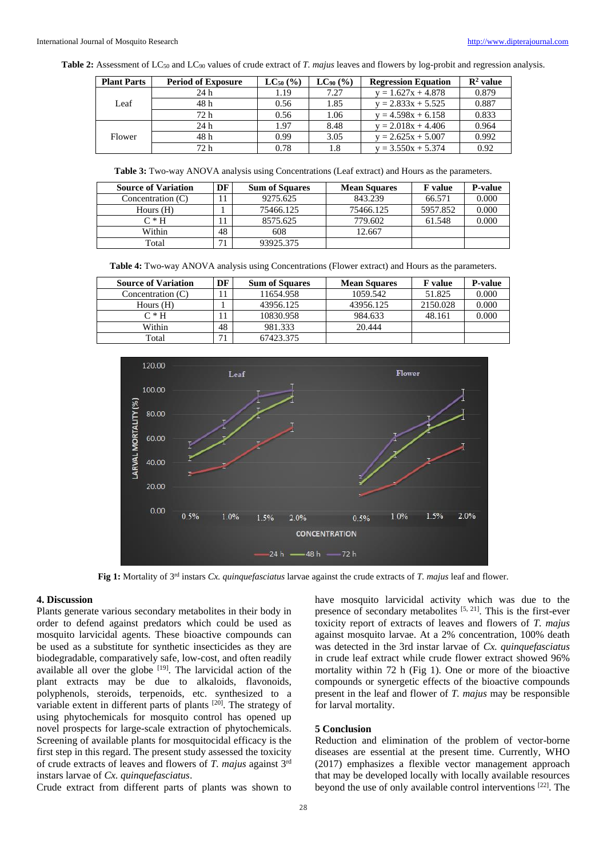**Table 2:** Assessment of LC<sub>50</sub> and LC<sub>90</sub> values of crude extract of *T. majus* leaves and flowers by log-probit and regression analysis.

| <b>Plant Parts</b> | <b>Period of Exposure</b> | $LC_{50}$ (%) | $LC_{90}$ (%) | <b>Regression Equation</b> | $\mathbb{R}^2$ value |
|--------------------|---------------------------|---------------|---------------|----------------------------|----------------------|
| Leaf               | 24h                       | 1.19          | 7.27          | $y = 1.627x + 4.878$       | 0.879                |
|                    | 48 h                      | 0.56          | 1.85          | $y = 2.833x + 5.525$       | 0.887                |
|                    | 72 h                      | 0.56          | 1.06          | $y = 4.598x + 6.158$       | 0.833                |
| Flower             | 24h                       | 1.97          | 8.48          | $y = 2.018x + 4.406$       | 0.964                |
|                    | 48 h                      | 0.99          | 3.05          | $y = 2.625x + 5.007$       | 0.992                |
|                    | 72 h                      | 0.78          | 1.8           | $y = 3.550x + 5.374$       | 0.92                 |

**Table 3:** Two-way ANOVA analysis using Concentrations (Leaf extract) and Hours as the parameters.

| <b>Source of Variation</b> |    | <b>Sum of Squares</b> | <b>Mean Squares</b> | <b>F</b> value | <b>P-value</b> |
|----------------------------|----|-----------------------|---------------------|----------------|----------------|
| Concentration $(C)$        |    | 9275.625              | 843.239             | 66.571         | 0.000          |
| Hours $(H)$                |    | 75466.125             | 75466.125           | 5957.852       | 0.000          |
| $C*H$                      |    | 8575.625              | 779.602             | 61.548         | 0.000          |
| Within                     | 48 | 608                   | 12.667              |                |                |
| Total                      | 71 | 93925.375             |                     |                |                |

**Table 4:** Two-way ANOVA analysis using Concentrations (Flower extract) and Hours as the parameters.

| <b>Source of Variation</b> |    | <b>Sum of Squares</b> | <b>Mean Squares</b> | <b>F</b> value | <b>P-value</b> |
|----------------------------|----|-----------------------|---------------------|----------------|----------------|
| Concentration (C)          |    | 11654.958             | 1059.542            | 51.825         | 0.000          |
| Hours $(H)$                |    | 43956.125             | 43956.125           | 2150.028       | 0.000          |
| $C*H$                      |    | 10830.958             | 984.633             | 48.161         | 0.000          |
| Within                     | 48 | 981.333               | 20.444              |                |                |
| Total                      | 71 | 67423.375             |                     |                |                |



**Fig 1:** Mortality of 3rd instars *Cx. quinquefasciatus* larvae against the crude extracts of *T. majus* leaf and flower.

#### **4. Discussion**

Plants generate various secondary metabolites in their body in order to defend against predators which could be used as mosquito larvicidal agents. These bioactive compounds can be used as a substitute for synthetic insecticides as they are biodegradable, comparatively safe, low-cost, and often readily available all over the globe  $[19]$ . The larvicidal action of the plant extracts may be due to alkaloids, flavonoids, polyphenols, steroids, terpenoids, etc. synthesized to a variable extent in different parts of plants [20]. The strategy of using phytochemicals for mosquito control has opened up novel prospects for large-scale extraction of phytochemicals. Screening of available plants for mosquitocidal efficacy is the first step in this regard. The present study assessed the toxicity of crude extracts of leaves and flowers of *T. majus* against 3rd instars larvae of *Cx. quinquefasciatus*.

Crude extract from different parts of plants was shown to

have mosquito larvicidal activity which was due to the presence of secondary metabolites  $[5, 21]$ . This is the first-ever toxicity report of extracts of leaves and flowers of *T. majus* against mosquito larvae. At a 2% concentration, 100% death was detected in the 3rd instar larvae of *Cx. quinquefasciatus* in crude leaf extract while crude flower extract showed 96% mortality within 72 h (Fig 1). One or more of the bioactive compounds or synergetic effects of the bioactive compounds present in the leaf and flower of *T. majus* may be responsible for larval mortality.

#### **5 Conclusion**

Reduction and elimination of the problem of vector-borne diseases are essential at the present time. Currently, WHO (2017) emphasizes a flexible vector management approach that may be developed locally with locally available resources beyond the use of only available control interventions [22]. The